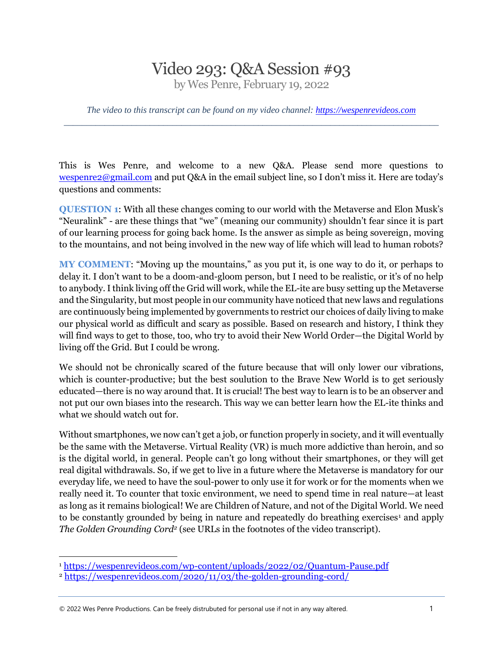## Video 293: Q&A Session #93

by Wes Penre, February 19, 2022

*The video to this transcript can be found on my video channel: [https://wespenrevideos.com](https://wespenrevideos.com/)  \_\_\_\_\_\_\_\_\_\_\_\_\_\_\_\_\_\_\_\_\_\_\_\_\_\_\_\_\_\_\_\_\_\_\_\_\_\_\_\_\_\_\_\_\_\_\_\_\_\_\_\_\_\_\_\_\_\_\_\_\_\_\_\_\_\_\_\_\_\_\_\_\_\_\_\_\_\_\_\_\_\_\_* 

This is Wes Penre, and welcome to a new Q&A. Please send more questions to [wespenre2@gmail.com](mailto:wespenre2@gmail.com) and put Q&A in the email subject line, so I don't miss it. Here are today's questions and comments:

**QUESTION 1**: With all these changes coming to our world with the Metaverse and Elon Musk's "Neuralink" - are these things that "we" (meaning our community) shouldn't fear since it is part of our learning process for going back home. Is the answer as simple as being sovereign, moving to the mountains, and not being involved in the new way of life which will lead to human robots?

**MY COMMENT**: "Moving up the mountains," as you put it, is one way to do it, or perhaps to delay it. I don't want to be a doom-and-gloom person, but I need to be realistic, or it's of no help to anybody. I think living off the Grid will work, while the EL-ite are busy setting up the Metaverse and the Singularity, but most people in our community have noticed that new laws and regulations are continuously being implemented by governments to restrict our choices of daily living to make our physical world as difficult and scary as possible. Based on research and history, I think they will find ways to get to those, too, who try to avoid their New World Order—the Digital World by living off the Grid. But I could be wrong.

We should not be chronically scared of the future because that will only lower our vibrations, which is counter-productive; but the best soulution to the Brave New World is to get seriously educated—there is no way around that. It is crucial! The best way to learn is to be an observer and not put our own biases into the research. This way we can better learn how the EL-ite thinks and what we should watch out for.

Without smartphones, we now can't get a job, or function properly in society, and it will eventually be the same with the Metaverse. Virtual Reality (VR) is much more addictive than heroin, and so is the digital world, in general. People can't go long without their smartphones, or they will get real digital withdrawals. So, if we get to live in a future where the Metaverse is mandatory for our everyday life, we need to have the soul-power to only use it for work or for the moments when we really need it. To counter that toxic environment, we need to spend time in real nature—at least as long as it remains biological! We are Children of Nature, and not of the Digital World. We need to be constantly grounded by being in nature and repeatedly do breathing exercises<sup>1</sup> and apply *The Golden Grounding Cord<sup>2</sup>* (see URLs in the footnotes of the video transcript).

© 2022 Wes Penre Productions. Can be freely distrubuted for personal use if not in any way altered. 1

<sup>1</sup> <https://wespenrevideos.com/wp-content/uploads/2022/02/Quantum-Pause.pdf>

<sup>2</sup> <https://wespenrevideos.com/2020/11/03/the-golden-grounding-cord/>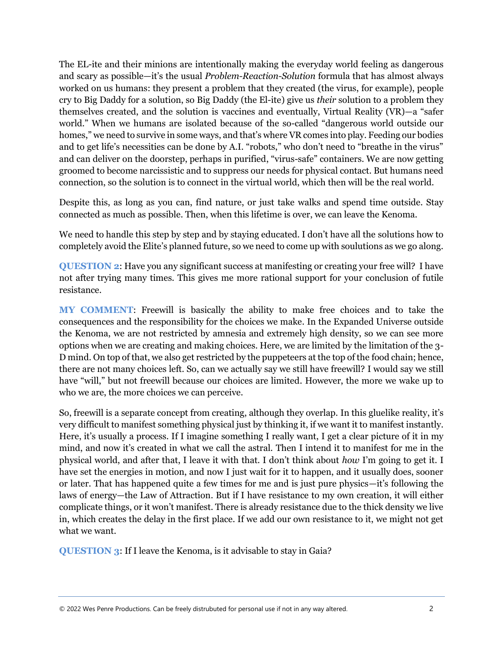The EL-ite and their minions are intentionally making the everyday world feeling as dangerous and scary as possible—it's the usual *Problem-Reaction-Solution* formula that has almost always worked on us humans: they present a problem that they created (the virus, for example), people cry to Big Daddy for a solution, so Big Daddy (the El-ite) give us *their* solution to a problem they themselves created, and the solution is vaccines and eventually, Virtual Reality (VR)—a "safer world." When we humans are isolated because of the so-called "dangerous world outside our homes," we need to survive in some ways, and that's where VR comes into play. Feeding our bodies and to get life's necessities can be done by A.I. "robots," who don't need to "breathe in the virus" and can deliver on the doorstep, perhaps in purified, "virus-safe" containers. We are now getting groomed to become narcissistic and to suppress our needs for physical contact. But humans need connection, so the solution is to connect in the virtual world, which then will be the real world.

Despite this, as long as you can, find nature, or just take walks and spend time outside. Stay connected as much as possible. Then, when this lifetime is over, we can leave the Kenoma.

We need to handle this step by step and by staying educated. I don't have all the solutions how to completely avoid the Elite's planned future, so we need to come up with soulutions as we go along.

**QUESTION 2**: Have you any significant success at manifesting or creating your free will? I have not after trying many times. This gives me more rational support for your conclusion of futile resistance.

**MY COMMENT**: Freewill is basically the ability to make free choices and to take the consequences and the responsibility for the choices we make. In the Expanded Universe outside the Kenoma, we are not restricted by amnesia and extremely high density, so we can see more options when we are creating and making choices. Here, we are limited by the limitation of the 3- D mind. On top of that, we also get restricted by the puppeteers at the top of the food chain; hence, there are not many choices left. So, can we actually say we still have freewill? I would say we still have "will," but not freewill because our choices are limited. However, the more we wake up to who we are, the more choices we can perceive.

So, freewill is a separate concept from creating, although they overlap. In this gluelike reality, it's very difficult to manifest something physical just by thinking it, if we want it to manifest instantly. Here, it's usually a process. If I imagine something I really want, I get a clear picture of it in my mind, and now it's created in what we call the astral. Then I intend it to manifest for me in the physical world, and after that, I leave it with that. I don't think about *how* I'm going to get it. I have set the energies in motion, and now I just wait for it to happen, and it usually does, sooner or later. That has happened quite a few times for me and is just pure physics—it's following the laws of energy—the Law of Attraction. But if I have resistance to my own creation, it will either complicate things, or it won't manifest. There is already resistance due to the thick density we live in, which creates the delay in the first place. If we add our own resistance to it, we might not get what we want.

**QUESTION 3**: If I leave the Kenoma, is it advisable to stay in Gaia?

© 2022 Wes Penre Productions. Can be freely distrubuted for personal use if not in any way altered. 2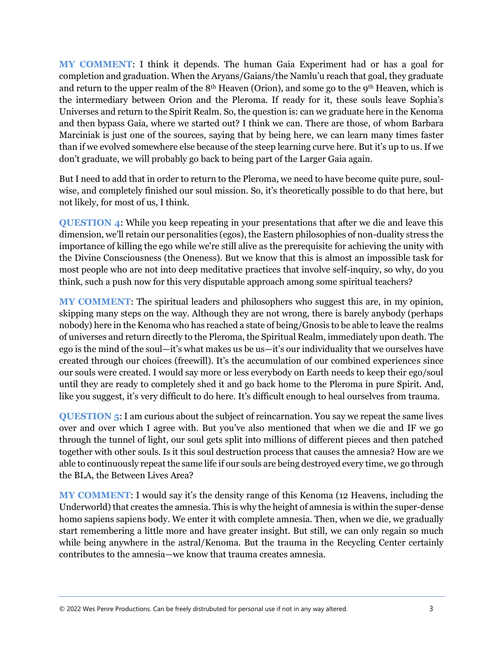**MY COMMENT**: I think it depends. The human Gaia Experiment had or has a goal for completion and graduation. When the Aryans/Gaians/the Namlu'u reach that goal, they graduate and return to the upper realm of the  $8<sup>th</sup>$  Heaven (Orion), and some go to the 9<sup>th</sup> Heaven, which is the intermediary between Orion and the Pleroma. If ready for it, these souls leave Sophia's Universes and return to the Spirit Realm. So, the question is: can we graduate here in the Kenoma and then bypass Gaia, where we started out? I think we can. There are those, of whom Barbara Marciniak is just one of the sources, saying that by being here, we can learn many times faster than if we evolved somewhere else because of the steep learning curve here. But it's up to us. If we don't graduate, we will probably go back to being part of the Larger Gaia again.

But I need to add that in order to return to the Pleroma, we need to have become quite pure, soulwise, and completely finished our soul mission. So, it's theoretically possible to do that here, but not likely, for most of us, I think.

**QUESTION 4**: While you keep repeating in your presentations that after we die and leave this dimension, we'll retain our personalities (egos), the Eastern philosophies of non-duality stress the importance of killing the ego while we're still alive as the prerequisite for achieving the unity with the Divine Consciousness (the Oneness). But we know that this is almost an impossible task for most people who are not into deep meditative practices that involve self-inquiry, so why, do you think, such a push now for this very disputable approach among some spiritual teachers?

**MY COMMENT**: The spiritual leaders and philosophers who suggest this are, in my opinion, skipping many steps on the way. Although they are not wrong, there is barely anybody (perhaps nobody) here in the Kenoma who has reached a state of being/Gnosis to be able to leave the realms of universes and return directly to the Pleroma, the Spiritual Realm, immediately upon death. The ego is the mind of the soul—it's what makes us be us—it's our individuality that we ourselves have created through our choices (freewill). It's the accumulation of our combined experiences since our souls were created. I would say more or less everybody on Earth needs to keep their ego/soul until they are ready to completely shed it and go back home to the Pleroma in pure Spirit. And, like you suggest, it's very difficult to do here. It's difficult enough to heal ourselves from trauma.

**QUESTION 5**: I am curious about the subject of reincarnation. You say we repeat the same lives over and over which I agree with. But you've also mentioned that when we die and IF we go through the tunnel of light, our soul gets split into millions of different pieces and then patched together with other souls. Is it this soul destruction process that causes the amnesia? How are we able to continuously repeat the same life if our souls are being destroyed every time, we go through the BLA, the Between Lives Area?

**MY COMMENT**: I would say it's the density range of this Kenoma (12 Heavens, including the Underworld) that creates the amnesia. This is why the height of amnesia is within the super-dense homo sapiens sapiens body. We enter it with complete amnesia. Then, when we die, we gradually start remembering a little more and have greater insight. But still, we can only regain so much while being anywhere in the astral/Kenoma. But the trauma in the Recycling Center certainly contributes to the amnesia—we know that trauma creates amnesia.

© 2022 Wes Penre Productions. Can be freely distrubuted for personal use if not in any way altered. 3